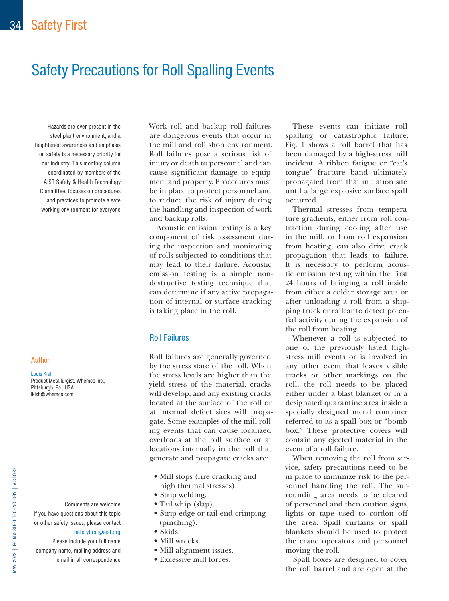# Safety Precautions for Roll Spalling Events

Hazards are ever-present in the steel plant environment, and a heightened awareness and emphasis on safety is a necessary priority for our industry. This monthly column, coordinated by members of the AIST Safety & Health Technology Committee, focuses on procedures and practices to promote a safe working environment for everyone.

#### Author

Louis Kish Product Metallurgist, Whemco Inc., Pittsburgh, Pa., USA lkish@whemco.com

Comments are welcome. If you have questions about this topic or other safety issues, please contact [safetyfirst@aist.org](mailto:safetyfirst%40aist.org?subject=).

Please include your full name, company name, mailing address and email in all correspondence.

Work roll and backup roll failures are dangerous events that occur in the mill and roll shop environment. Roll failures pose a serious risk of injury or death to personnel and can cause significant damage to equipment and property. Procedures must be in place to protect personnel and to reduce the risk of injury during the handling and inspection of work and backup rolls.

Acoustic emission testing is a key component of risk assessment during the inspection and monitoring of rolls subjected to conditions that may lead to their failure. Acoustic emission testing is a simple nondestructive testing technique that can determine if any active propagation of internal or surface cracking is taking place in the roll.

# Roll Failures

Roll failures are generally governed by the stress state of the roll. When the stress levels are higher than the yield stress of the material, cracks will develop, and any existing cracks located at the surface of the roll or at internal defect sites will propagate. Some examples of the mill rolling events that can cause localized overloads at the roll surface or at locations internally in the roll that generate and propagate cracks are:

- Mill stops (fire cracking and high thermal stresses).
- Strip welding.
- Tail whip (slap).
- Strip edge or tail end crimping (pinching).
- Skids.
- Mill wrecks.
- Mill alignment issues.
- Excessive mill forces.

These events can initiate roll spalling or catastrophic failure. Fig. 1 shows a roll barrel that has been damaged by a high-stress mill incident. A ribbon fatigue or "cat's tongue" fracture band ultimately propagated from that initiation site until a large explosive surface spall occurred.

Thermal stresses from temperature gradients, either from roll contraction during cooling after use in the mill, or from roll expansion from heating, can also drive crack propagation that leads to failure. It is necessary to perform acoustic emission testing within the first 24 hours of bringing a roll inside from either a colder storage area or after unloading a roll from a shipping truck or railcar to detect potential activity during the expansion of the roll from heating.

Whenever a roll is subjected to one of the previously listed highstress mill events or is involved in any other event that leaves visible cracks or other markings on the roll, the roll needs to be placed either under a blast blanket or in a designated quarantine area inside a specially designed metal container referred to as a spall box or "bomb box." These protective covers will contain any ejected material in the event of a roll failure.

When removing the roll from service, safety precautions need to be in place to minimize risk to the personnel handling the roll. The surrounding area needs to be cleared of personnel and then caution signs, lights or tape used to cordon off the area. Spall curtains or spall blankets should be used to protect the crane operators and personnel moving the roll.

Spall boxes are designed to cover the roll barrel and are open at the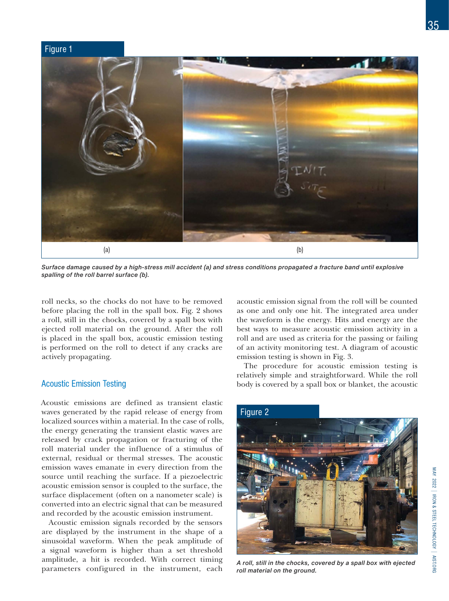#### Figure 1



*Surface damage caused by a high-stress mill accident (a) and stress conditions propagated a fracture band until explosive spalling of the roll barrel surface (b).*

roll necks, so the chocks do not have to be removed before placing the roll in the spall box. Fig. 2 shows a roll, still in the chocks, covered by a spall box with ejected roll material on the ground. After the roll is placed in the spall box, acoustic emission testing is performed on the roll to detect if any cracks are actively propagating.

# Acoustic Emission Testing

Acoustic emissions are defined as transient elastic waves generated by the rapid release of energy from localized sources within a material. In the case of rolls, the energy generating the transient elastic waves are released by crack propagation or fracturing of the roll material under the influence of a stimulus of external, residual or thermal stresses. The acoustic emission waves emanate in every direction from the source until reaching the surface. If a piezoelectric acoustic emission sensor is coupled to the surface, the surface displacement (often on a nanometer scale) is converted into an electric signal that can be measured and recorded by the acoustic emission instrument.

Acoustic emission signals recorded by the sensors are displayed by the instrument in the shape of a sinusoidal waveform. When the peak amplitude of a signal waveform is higher than a set threshold amplitude, a hit is recorded. With correct timing parameters configured in the instrument, each acoustic emission signal from the roll will be counted as one and only one hit. The integrated area under the waveform is the energy. Hits and energy are the best ways to measure acoustic emission activity in a roll and are used as criteria for the passing or failing of an activity monitoring test. A diagram of acoustic emission testing is shown in Fig. 3.

The procedure for acoustic emission testing is relatively simple and straightforward. While the roll body is covered by a spall box or blanket, the acoustic



*A roll, still in the chocks, covered by a spall box with ejected roll material on the ground.*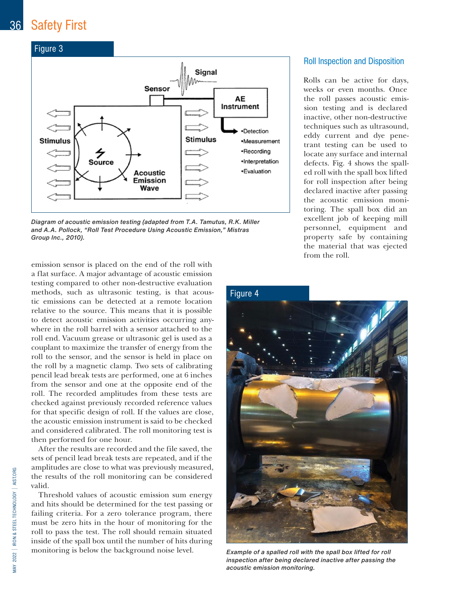

*Diagram of acoustic emission testing (adapted from T.A. Tamutus, R.K. Miller and A.A. Pollock, "Roll Test Procedure Using Acoustic Emission," Mistras Group Inc., 2010).*

emission sensor is placed on the end of the roll with a flat surface. A major advantage of acoustic emission testing compared to other non-destructive evaluation methods, such as ultrasonic testing, is that acoustic emissions can be detected at a remote location relative to the source. This means that it is possible to detect acoustic emission activities occurring anywhere in the roll barrel with a sensor attached to the roll end. Vacuum grease or ultrasonic gel is used as a couplant to maximize the transfer of energy from the roll to the sensor, and the sensor is held in place on the roll by a magnetic clamp. Two sets of calibrating pencil lead break tests are performed, one at 6 inches from the sensor and one at the opposite end of the roll. The recorded amplitudes from these tests are checked against previously recorded reference values for that specific design of roll. If the values are close, the acoustic emission instrument is said to be checked and considered calibrated. The roll monitoring test is then performed for one hour.

After the results are recorded and the file saved, the sets of pencil lead break tests are repeated, and if the amplitudes are close to what was previously measured, the results of the roll monitoring can be considered valid.

Threshold values of acoustic emission sum energy and hits should be determined for the test passing or failing criteria. For a zero tolerance program, there must be zero hits in the hour of monitoring for the roll to pass the test. The roll should remain situated inside of the spall box until the number of hits during monitoring is below the background noise level.

# Roll Inspection and Disposition

Rolls can be active for days, weeks or even months. Once the roll passes acoustic emission testing and is declared inactive, other non-destructive techniques such as ultrasound, eddy current and dye penetrant testing can be used to locate any surface and internal defects. Fig. 4 shows the spalled roll with the spall box lifted for roll inspection after being declared inactive after passing the acoustic emission monitoring. The spall box did an excellent job of keeping mill personnel, equipment and property safe by containing the material that was ejected from the roll.

#### Figure 4



*Example of a spalled roll with the spall box lifted for roll inspection after being declared inactive after passing the acoustic emission monitoring.*